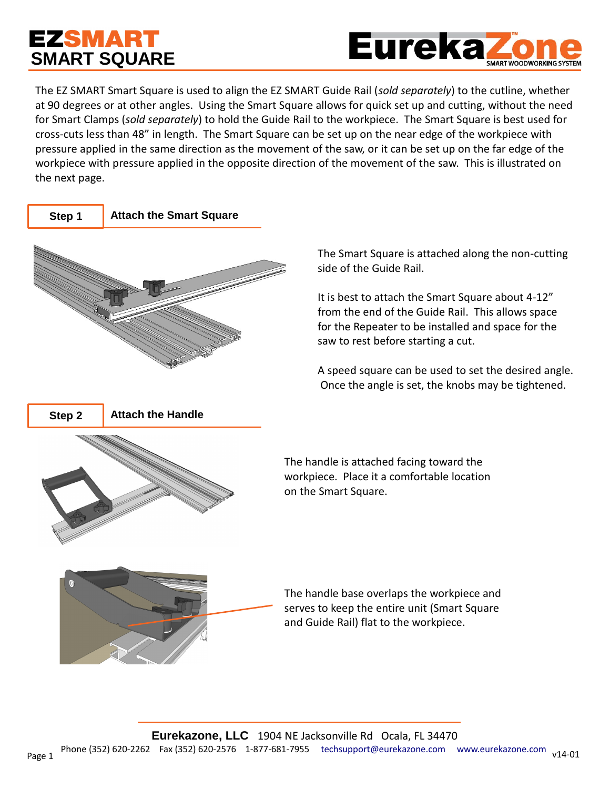## **EZSMART SMART SQUARE**



The EZ SMART Smart Square is used to align the EZ SMART Guide Rail (*sold separately*) to the cutline, whether at 90 degrees or at other angles. Using the Smart Square allows for quick set up and cutting, without the need for Smart Clamps (*sold separately*) to hold the Guide Rail to the workpiece. The Smart Square is best used for cross-cuts less than 48" in length. The Smart Square can be set up on the near edge of the workpiece with pressure applied in the same direction as the movement of the saw, or it can be set up on the far edge of the workpiece with pressure applied in the opposite direction of the movement of the saw. This is illustrated on the next page.



The Smart Square is attached along the non-cutting side of the Guide Rail.

It is best to attach the Smart Square about 4-12" from the end of the Guide Rail. This allows space for the Repeater to be installed and space for the saw to rest before starting a cut.

A speed square can be used to set the desired angle. Once the angle is set, the knobs may be tightened.

The handle is attached facing toward the workpiece. Place it a comfortable location on the Smart Square.



The handle base overlaps the workpiece and serves to keep the entire unit (Smart Square and Guide Rail) flat to the workpiece.